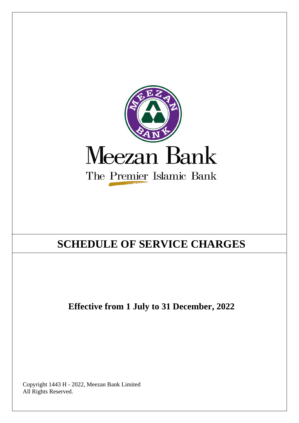

# **SCHEDULE OF SERVICE CHARGES**

**Effective from 1 July to 31 December, 2022**

Copyright 1443 H - 2022, Meezan Bank Limited All Rights Reserved.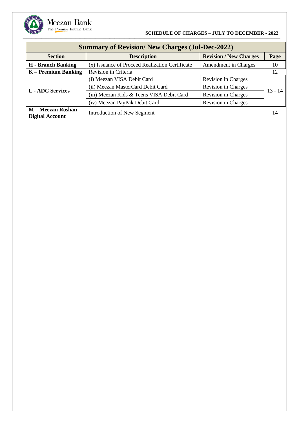| <b>Summary of Revision/ New Charges (Jul-Dec-2022)</b> |                                                 |                               |           |  |
|--------------------------------------------------------|-------------------------------------------------|-------------------------------|-----------|--|
| <b>Section</b><br><b>Description</b>                   |                                                 | <b>Revision / New Charges</b> | Page      |  |
| <b>H</b> - Branch Banking                              | (x) Issuance of Proceed Realization Certificate | Amendment in Charges          | 10        |  |
| $K -$ Premium Banking                                  | Revision in Criteria                            |                               | 12        |  |
|                                                        | (i) Meezan VISA Debit Card                      | Revision in Charges           | $13 - 14$ |  |
| <b>L</b> - ADC Services                                | (ii) Meezan MasterCard Debit Card               | Revision in Charges           |           |  |
|                                                        | (iii) Meezan Kids & Teens VISA Debit Card       | <b>Revision in Charges</b>    |           |  |
|                                                        | (iv) Meezan PayPak Debit Card                   | Revision in Charges           |           |  |
| <b>M-Meezan Roshan</b><br><b>Digital Account</b>       | Introduction of New Segment                     |                               | 14        |  |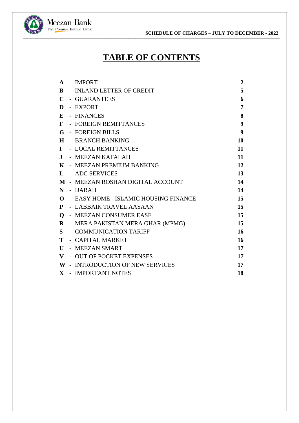**<b>N**eezan Bank<br> **SCHEDULE OF CHARGES – JULY TO DECEMBER - 2022**<br> **SCHEDULE OF CHARGES – JULY TO DECEMBER - 2022 \_\_\_\_\_\_\_\_\_\_\_\_\_\_\_\_\_\_\_\_\_\_\_\_\_\_\_\_\_\_\_\_\_\_\_\_\_\_\_\_\_\_\_\_\_\_\_\_\_\_\_\_\_\_\_\_\_\_\_\_\_\_\_\_\_\_\_\_\_\_\_\_\_\_\_\_\_\_\_\_\_\_\_\_\_\_\_\_\_\_\_\_\_\_\_\_\_\_\_\_\_\_\_\_\_\_\_\_\_\_\_\_\_\_\_\_\_\_\_\_\_\_\_\_\_\_\_\_\_\_\_\_\_\_\_\_\_\_\_\_\_\_\_\_\_\_\_\_\_\_\_\_\_\_\_\_\_\_\_\_\_\_\_\_\_\_\_\_\_\_\_\_\_\_\_\_\_\_\_\_\_\_\_\_\_\_\_\_\_\_\_\_\_\_\_\_\_\_\_\_\_\_\_\_\_**



## **TABLE OF CONTENTS**

| $\mathbf{A}$ | - IMPORT                              | $\overline{2}$ |
|--------------|---------------------------------------|----------------|
| B            | - INLAND LETTER OF CREDIT             | 5              |
| C            | - GUARANTEES                          | 6              |
| D            | - EXPORT                              | 7              |
| E            | - FINANCES                            | 8              |
|              |                                       |                |
| F            | - FOREIGN REMITTANCES                 | 9              |
| G            | - FOREIGN BILLS                       | 9              |
| $\bf H$      | - BRANCH BANKING                      | 10             |
| L            | - LOCAL REMITTANCES                   | 11             |
| $\mathbf{J}$ | - MEEZAN KAFALAH                      | 11             |
| K            | - MEEZAN PREMIUM BANKING              | 12             |
| L            | - ADC SERVICES                        | 13             |
|              | M - MEEZAN ROSHAN DIGITAL ACCOUNT     | 14             |
| N            | - IJARAH                              | 14             |
| $\Omega$     | - EASY HOME - ISLAMIC HOUSING FINANCE | 15             |
| P            | - LABBAIK TRAVEL AASAAN               | 15             |
| $\mathbf 0$  | - MEEZAN CONSUMER EASE                | 15             |
| $\bf{R}$     | - MERA PAKISTAN MERA GHAR (MPMG)      | 15             |
| S            | - COMMUNICATION TARIFF                | 16             |
| Т            | - CAPITAL MARKET                      | 16             |
| $\mathbf{U}$ | - MEEZAN SMART                        | 17             |
| V            | - OUT OF POCKET EXPENSES              | 17             |
|              | W - INTRODUCTION OF NEW SERVICES      | 17             |
| $\mathbf{X}$ | - IMPORTANT NOTES                     | 18             |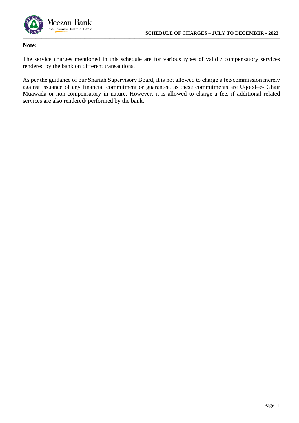

### **Note:**

The service charges mentioned in this schedule are for various types of valid / compensatory services rendered by the bank on different transactions.

As per the guidance of our Shariah Supervisory Board, it is not allowed to charge a fee/commission merely against issuance of any financial commitment or guarantee, as these commitments are Uqood–e- Ghair Muawada or non-compensatory in nature. However, it is allowed to charge a fee, if additional related services are also rendered/ performed by the bank.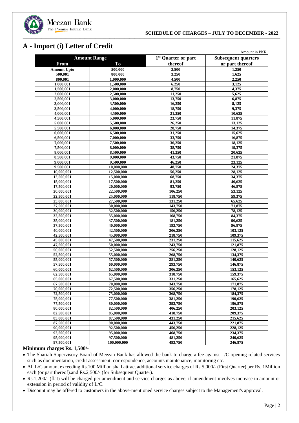

## <span id="page-4-0"></span>**A - Import (i) Letter of Credit**

|                                       |                          |                                 | Amount in PKR              |
|---------------------------------------|--------------------------|---------------------------------|----------------------------|
|                                       | <b>Amount Range</b>      | 1 <sup>st</sup> Quarter or part | <b>Subsequent quarters</b> |
| From                                  | To                       | thereof                         | or part thereof            |
| <b>Amount Upto</b>                    | 500,000                  | 2,500                           | 1,250                      |
| 500,001                               | 800,000                  | 3,250                           | 1,625                      |
| 800,001                               | 1,000,000                | 4,500                           | 2,250                      |
| 1,000,001                             | 1,500,000                | 6,250                           | 3,125                      |
| 1,500,001                             | 2,000,000                | 8,750                           | 4,375                      |
| 2,000,001                             | 2,500,000                | 11,250                          | 5,625                      |
| 2,500,001                             | 3,000,000                | 13,750                          | 6,875                      |
| 3,000,001                             | 3,500,000                | 16,250                          | 8,125                      |
| 3,500,001                             | 4,000,000                | 18,750                          | 9,375                      |
| 4,000,001                             | 4,500,000                | 21,250                          | 10,625                     |
| 4,500,001                             | 5,000,000                | 23,750                          | 11,875                     |
| 5,000,001                             | 5,500,000                | 26,250                          | 13,125                     |
| 5,500,001                             | 6,000,000                | 28,750                          | 14,375                     |
| 6,000,001                             | 6,500,000                | 31,250                          | 15,625                     |
| 6,500,001                             | 7,000,000                | 33,750                          | 16,875                     |
| 7,000,001                             | 7,500,000                | 36,250                          | 18,125                     |
| 7,500,001                             | 8,000,000                | 38,750                          | 19,375                     |
| 8,000,001                             | 8,500,000                | 41,250                          | 20,625                     |
| 8,500,001                             | 9,000,000                | 43,750                          | 21,875                     |
| 9,000,001                             | 9,500,000                | 46,250                          | 23,125                     |
| 9,500,001                             | 10,000,000               | 48,750                          | 24,375                     |
| 10,000,001                            | 12,500,000               | 56,250                          | 28,125                     |
| 12,500,001                            | 15,000,000               | 68,750                          | 34,375                     |
| 15,000,001                            | 17,500,000               | 81,250                          | 40,625                     |
| 17,500,001                            | 20,000,000               | 93,750                          | 46,875                     |
| 20,000,001                            | 22,500,000               | 106,250                         | 53,125                     |
| 22,500,001                            | 25,000,000               | 118,750                         | 59,375                     |
| 25,000,001                            | 27,500,000               | 131,250                         | 65,625                     |
| 27,500,001                            | 30,000,000               | 143,750                         | 71,875                     |
| 30,000,001                            | 32,500,000               | 156,250                         | 78,125                     |
| 32,500,001                            | 35,000,000               | 168,750                         | 84,375                     |
| 35,000,001                            | 37,500,000               | 181,250                         | 90,625                     |
| 37,500,001                            | 40,000,000<br>42,500,000 | 193,750                         | 96,875                     |
| 40,000,001<br>$\overline{42,500,001}$ | 45,000,000               | 206,250                         | 103,125                    |
|                                       |                          | 218,750                         | 109,375                    |
| 45,000,001<br>$\overline{47,500,001}$ | 47,500,000<br>50,000,000 | 231,250<br>243,750              | 115,625<br>121,875         |
| 50,000,001                            | 52,500,000               | 256,250                         | 128,125                    |
| 52,500,001                            | 55,000,000               | 268,750                         | 134,375                    |
| 55,000,001                            | 57,500,000               | 281,250                         | 140,625                    |
| 57,500,001                            | 60,000,000               | 293,750                         | 146,875                    |
| 60,000,001                            | 62,500,000               | 306,250                         | 153,125                    |
| 62,500,001                            | $\overline{65,}000,000$  | 318,750                         | 159,375                    |
| 65,000,001                            | 67,500,000               | 331,250                         | 165,625                    |
| 67,500,001                            | $\overline{70,}000,000$  | 343,750                         | 171.875                    |
| 70,000,001                            | 72,500,000               | 356,250                         | 178,125                    |
| 72,500,001                            | 75,000,000               | 368,750                         | 184,375                    |
| 75,000,001                            | 77,500,000               | 381,250                         | 190,625                    |
| 77,500,001                            | 80,000,000               | 393,750                         | 196,875                    |
| 80,000,001                            | 82,500,000               | 406,250                         | 203,125                    |
| 82,500,001                            | 85,000,000               | 418,750                         | 209,375                    |
| 85,000,001                            | 87,500,000               | 431,250                         | 215,625                    |
| 87,500,001                            | $\overline{90,000,000}$  | 443,750                         | 221,875                    |
| 90,000,001                            | 92,500,000               | 456,250                         | 228,125                    |
| 92,500,001                            | 95,000,000               | 468,750                         | 234,375                    |
| 95,000,001                            | 97,500,000               | 481,250                         | 240,625                    |
| 97,500,001                            | 100,000,000              | 493,750                         | 246,875                    |
|                                       |                          |                                 |                            |

#### **Minimum charges Rs. 1,500/-**

• The Shariah Supervisory Board of Meezan Bank has allowed the bank to charge a fee against L/C opening related services such as documentation, credit assessment, correspondence, accounts maintenance, monitoring etc.

- All L/C amount exceeding Rs.100 Million shall attract additional service charges of Rs.5,000/- (First Quarter) per Rs. 1Million each (or part thereof).and Rs.2,500/- (for Subsequent Quarter).
- Rs.1,200/- (flat) will be charged per amendment and service charges as above, if amendment involves increase in amount or extension in period of validity of L/C.
- Discount may be offered to customers in the above-mentioned service charges subject to the Management's approval.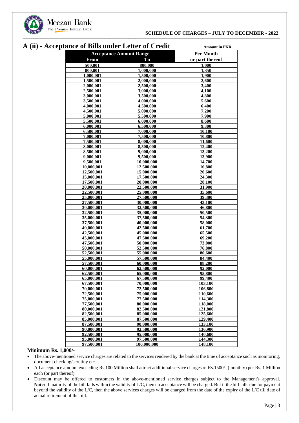

## **A (ii) - Acceptance of Bills under Letter of Credit Amount in PKR**

|                          | ance of Dhis unuel Letter of Credit | AMOUNL IN FINK   |
|--------------------------|-------------------------------------|------------------|
|                          | <b>Acceptance Amount Range</b>      | <b>Per Month</b> |
| <b>From</b>              | To                                  | or part thereof  |
| 500,001                  | 800,000                             | 1,000            |
| 800,001                  | 1,000,000                           | 1,350            |
| 1,000,001                | 1.500.000                           | 1,900            |
| 1,500,001                | 2,000,000                           | 2,600            |
| 2,000,001                | 2,500,000                           | 3,400            |
| 2,500,001                | 3,000,000                           | 4,100            |
| 3,000,001                | 3,500,000                           | 4,800            |
| 3,500,001                | 4,000,000                           | 5,600            |
| 4,000,001                | 4,500,000                           | 6,400            |
| 4,500,001                | 5,000,000                           | 7,200            |
| 5,000,001                | 5,500,000                           | 7,900            |
| 5,500,001                | 6,000,000                           | 8,600            |
| 6,000,001                | 6,500,000                           | 9,300            |
| 6,500,001                | 7,000,000                           | 10,100           |
| 7,000,001                | 7,500,000                           | 10,800           |
| 7,500,001                | 8,000,000                           | 11,600<br>12,400 |
| 8,000,001                | 8,500,000                           | 13,200           |
| 8,500,001<br>9,000,001   | 9,000,000<br>9,500,000              | 13,900           |
| 9,500,001                | 10,000,000                          | 14,700           |
| 10,000,001               | 12,500,000                          | 16,800           |
| 12.500.001               | 15,000,000                          | 20,600           |
| 15,000,001               | 17,500,000                          | 24,300           |
| 17,500,001               | 20,000,000                          | 28,100           |
| 20,000,001               | 22,500,000                          | 31,900           |
| 22,500,001               | 25,000,000                          | 35,600           |
| 25,000,001               | 27,500,000                          | 39,300           |
| 27,500,001               | 30,000,000                          | 43,100           |
| 30,000,001               | 32,500,000                          | 46,800           |
| 32,500,001               | 35,000,000                          | 50,500           |
| 35,000,001               | 37,500,000                          | 54,300           |
| 37,500,001               | 40,000,000                          | 58,000           |
| 40,000,001               | 42,500,000                          | 61,700           |
| 42,500,001               | 45,000,000                          | 65,500           |
| 45,000,001               | 47,500,000                          | 69,200           |
| 47,500,001               | 50,000,000                          | 73,000           |
| 50,000,001               | 52,500,000                          | 76,800           |
| 52,500,001               | 55,000,000                          | 80,600           |
| 55,000,001               | 57,500,000                          | 84,400           |
| 57,500,001               | 60,000,000<br>62,500,000            | 88,200           |
| 60,000,001               |                                     | 92,000           |
| 62,500,001<br>65,000,001 | 65,000,000<br>67,500,000            | 95,800<br>99,400 |
| 67,500,001               | 70,000,000                          | 103,100          |
| 70,000,001               | <b>72,500,000</b>                   | 106,800          |
| 72,500,001               | 75,000,000                          | 110,600          |
| 75,000,001               | 77,500,000                          | 114,300          |
| 77,500,001               | 80,000,000                          | 118,000          |
| 80,000,001               | 82,500,000                          | 121,800          |
| 82,500,001               | 85,000,000                          | 125,600          |
| 85,000,001               | 87,500,000                          | 129,400          |
| 87,500,001               | 90,000,000                          | 133,100          |
| 90,000,001               | 92,500,000                          | 136,900          |
| 92,500,001               | 95,000,000                          | 140,600          |
| 95,000,001               | 97,500,000                          | 144,300          |
| 97,500,001               | 100,000,000                         | <b>148,100</b>   |

#### **Minimum Rs. 1,000/-**

- The above-mentioned service charges are related to the services rendered by the bank at the time of acceptance such as monitoring, document checking/scrutiny etc.
- All acceptance amount exceeding Rs.100 Million shall attract additional service charges of Rs.1500/- (monthly) per Rs. 1 Million each (or part thereof).
- Discount may be offered to customers in the above-mentioned service charges subject to the Management's approval. **Note:** If maturity of the bill falls within the validity of L/C, then no acceptance will be charged. But if the bill falls due for payment beyond the validity of the L/C, then the above services charges will be charged from the date of the expiry of the L/C till date of actual retirement of the bill.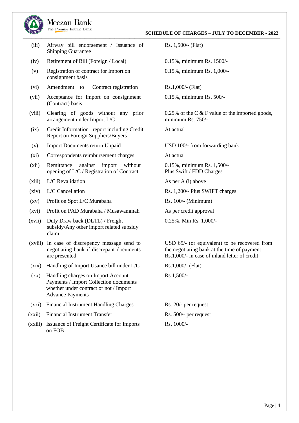

#### Meezan Bank The Premier Islamic Bank

(iii) Airway bill endorsement / Issuance of Shipping Guarantee

- (iv) Retirement of Bill (Foreign / Local) 0.15%, minimum Rs. 1500/-
- (v) Registration of contract for Import on consignment basis
- (vi) Amendment to Contract registration Rs.1,000/- (Flat)
- (vii) Acceptance for Import on consignment (Contract) basis
- (viii) Clearing of goods without any prior arrangement under Import L/C
- (ix) Credit Information report including Credit Report on Foreign Suppliers/Buyers
- (x) Import Documents return Unpaid USD 100/- from forwarding bank
- (xi) Correspondents reimbursement charges At actual
- (xii) Remittance against import without opening of L/C / Registration of Contract
- (xiii) L/C Revalidation As per A (i) above
- 
- (xv) Profit on Spot L/C Murabaha Rs. 100/- (Minimum)
- (xvi) Profit on PAD Murabaha / Musawammah As per credit approval
- (xvii) Duty Draw back (DLTL) / Freight subsidy/Any other import related subsidy claim
- (xviii) In case of discrepency message send to negotiating bank if discrepant documents are presented
- (xix) Handling of Import Usance bill under L/C
- $\left( \text{XX}\right)$ Handling charges on Import Account Payments / Import Collection documents whether under contract or not / Import Advance Payments
- (xxi) Financial Instrument Handling Charges
- (xxii) Financial Instrument Transfer
- (xxiii) Issuance of Freight Certificate for Imports on FOB

Rs. 1,500/- (Flat)

0.15%, minimum Rs. 1,000/-

0.15%, minimum Rs. 500/-

0.25% of the C  $&$  F value of the imported goods, minimum Rs. 750/-

At actual

0.15%, minimum Rs. 1,500/- Plus Swift / FDD Charges

(xiv) L/C Cancellation Rs. 1,200/- Plus SWIFT charges

- 
- 

0.25%, Min Rs. 1,000/-

USD 65/- (or equivalent) to be recovered from the negotiating bank at the time of payment Rs.1,000/- in case of inland letter of credit

Rs.1,000/- (Flat)

Rs.1,500/-

Rs. 20/- per request Rs. 500/- per request Rs. 1000/-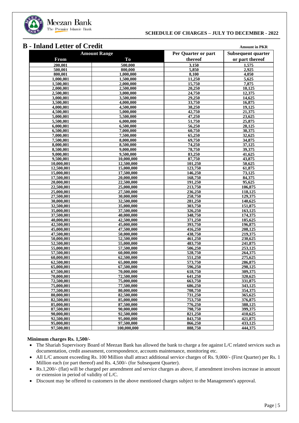

### <span id="page-7-0"></span>**B - Inland Letter** of Credit

| mana littu vi |                         |                      |                    |
|---------------|-------------------------|----------------------|--------------------|
|               | <b>Amount Range</b>     | Per Quarter or part  | Subsequent quarter |
| <b>From</b>   | To                      | thereof              | or part thereof    |
| 200.001       | 500,000                 | 3.150                | 1,575              |
| 500,001       | 800,000                 | 5,850                | 2,925              |
| 800,001       | 1,000,000               | 8,100                | 4,050              |
| 1,000,001     | 1,500,000               | 11,250               | 5,625              |
| 1,500,001     | 2,000,000               | 15,750               | 7,875              |
| 2,000,001     | 2,500,000               | 20,250               | 10,125             |
| 2,500,001     | 3,000,000               | 24,750               | 12,375             |
| 3,000,001     | 3.500,000               | 29,250               | 14,625             |
| 3,500,001     | 4,000,000               | 33,750               | 16,875             |
| 4,000,001     | 4,500,000               | 38,250               | 19,125             |
| 4,500,001     | 5,000,000               | 42,750               | 21,375             |
| 5,000,001     | 5,500,000               | 47,250               | 23,625             |
| 5,500,001     | 6,000,000               | 51,750               | 25,875             |
| 6,000,001     | 6,500,000               | 56,250               | 28,125             |
| 6,500,001     | 7,000,000               | 60,750               | 30,375             |
| 7,000,001     | 7,500,000               | 65,250               | 32,625             |
| 7,500,001     | 8,000,000               | 69,750               | 34,875             |
| 8,000,001     | 8,500,000               | 74,250               | 37,125             |
| 8,500,001     | 9,000,000               | 78,750               | 39,375             |
| 9,000,001     | 9,500,000               | 83,250               | 41,625             |
| 9,500,001     | 10,000,000              | 87,750               | 43,875             |
| 10,000,001    | 12,500,000              | 101,250              | 50,625             |
| 12,500,001    | 15,000,000              | 123,750              | 61,875             |
| 15,000,001    | 17,500,000              | 146,250              | 73,125             |
| 17,500,001    | 20,000,000              | 168,750              | 84,375             |
| 20,000,001    | 22,500,000              | 191,250              | 95,625             |
| 22,500,001    | 25,000,000              | 213,750              | 106,875            |
| 25,000,001    | 27,500,000              | 236,250              | 118,125            |
| 27,500,001    | 30,000,000              | 258,750              | 129,375            |
| 30,000,001    | 32,500,000              | 281,250              | 140,625            |
| 32,500,001    | 35,000,000              | 303,750              | 151,875            |
| 35,000,001    | 37,500,000              | 326,250              | 163,125            |
| 37,500,001    | 40,000,000              | 348,750              | 174,375            |
| 40,000,001    | 42,500,000              | 371,250              | 185,625            |
| 42,500,001    | 45,000,000              | 393,750              | 196,875            |
| 45,000,001    | 47,500,000              | 416,250              | 208,125            |
| 47,500,001    | 50,000,000              | 438,750              | 219,375            |
| 50,000,001    | $\overline{52,500,000}$ | 461,250              | 230,625            |
| 52,500,001    | 55,000,000              | 483,750              | 241,875            |
| 55,000,001    | 57,500,000              | $\overline{506,250}$ | 253.125            |
| 57,500,001    | 60,000,000              | 528,750              | 264,375            |
| 60,000,001    | 62,500,000              | 551,250              | 275,625            |
| 62,500,001    | 65,000,000              | 573,750              | 286,875            |
| 65,000,001    | 67.500.000              | 596,250              | 298,125            |
| 67,500,001    | 70,000,000              | 618,750              | 309,375            |
| 70,000,001    | 72,500,000              | 641,250              | 320,625            |
| 72,500,001    | 75,000,000              | 663,750              | 331,875            |
| 75,000,001    | 77,500,000              | 686,250              | 343,125            |
| 77,500,001    | 80,000,000              | 708,750              | 354,375            |
| 80,000,001    | 82,500,000              | 731,250              | 365,625            |
| 82,500,001    | 85,000,000              | 753,750              | 376,875            |
| 85,000,001    | 87,500,000              | 776,250              | 388,125            |
| 87,500,001    | 90,000,000              | 798,750              | 399,375            |
| 90,000,001    | 92,500,000              | 821,250              | 410,625            |
| 92,500,001    | 95,000,000              | 843,750              | 421,875            |
| 95,000,001    | 97,500,000              | 866,250              | 433,125            |
| 97,500,001    | 100,000,000             | 888.750              | 444,375            |

#### **Minimum charges Rs. 1,500/-**

- The Shariah Supervisory Board of Meezan Bank has allowed the bank to charge a fee against L/C related services such as documentation, credit assessment, correspondence, accounts maintenance, monitoring etc.
- All L/C amount exceeding Rs. 100 Million shall attract additional service charges of Rs. 9,000/- (First Quarter) per Rs. 1 Million each (or part thereof) and Rs. 4,500/- (for Subsequent Quarter).
- Rs.1,200/- (flat) will be charged per amendment and service charges as above, if amendment involves increase in amount or extension in period of validity of L/C.
- Discount may be offered to customers in the above mentioned charges subject to the Management's approval.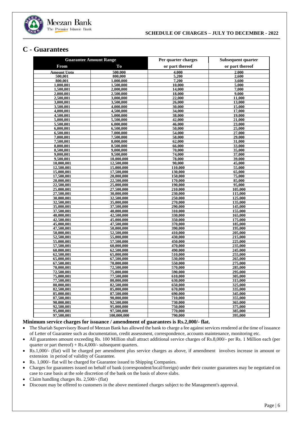

### <span id="page-8-0"></span>**C - Guarantees**

| <b>Guarantee Amount Range</b> |                          | Per quarter charges | Subsequent quarter |
|-------------------------------|--------------------------|---------------------|--------------------|
| From                          | To                       | or part thereof     | or part thereof    |
| <b>Amount Upto</b>            | 500.000                  | 4.000               | 2.000              |
| 500,001                       | 800,000                  | 5,200               | 2,600              |
| 800,001                       | 1,000,000                | 7,200               | 3,600              |
| 1,000,001                     | 1.500,000                | 10,000              | 5,000              |
| 1,500,001                     | 2,000,000                | 14,000              | 7,000              |
| 2.000.001                     | 2,500,000                | 18.000              | 9.000              |
| 2,500,001                     | 3,000,000                | 22,000              | 11,000             |
| 3,000,001                     | 3,500,000                | 26,000              | 13,000             |
| 3,500,001                     | 4,000,000                | 30,000              | 15,000             |
| 4,000,001                     | 4,500,000                | 34,000              | 17.000             |
| 4,500,001                     | 5,000,000                | 38,000              | 19,000             |
| 5,000,001                     | 5,500,000                | 42,000<br>46,000    | 21,000             |
| 5,500,001                     | 6,000,000                |                     | 23,000             |
| 6.000.001                     | 6.500,000<br>7,000,000   | 50,000<br>54,000    | 25,000<br>27,000   |
| 6,500,001<br>7,000,001        | 7,500,000                | 58,000              | 29,000             |
| 7,500,001                     | 8,000,000                | 62,000              | 31,000             |
| 8,000,001                     | 8,500,000                | 66,000              | 33,000             |
| 8,500,001                     | 9,000,000                | 70,000              | 35,000             |
| 9,000,001                     | 9,500,000                | 74,000              | 37,000             |
| 9,500,001                     | 10,000,000               | 78,000              | 39,000             |
| 10.000.001                    | 12,500,000               | 90.000              | 45,000             |
| 12,500,001                    | 15,000,000               | 110,000             | 55,000             |
| 15,000,001                    | 17,500,000               | 130,000             | 65,000             |
| 17,500,001                    | 20,000,000               | 150,000             | 75,000             |
| 20,000,001                    | 22,500,000               | 170,000             | 85,000             |
| 22,500,001                    | 25,000,000               | 190.000             | 95,000             |
| 25,000,001                    | 27,500,000               | 210,000             | 105,000            |
| 27,500,001                    | 30,000,000               | 230,000             | 115,000            |
| 30.000.001                    | 32,500,000               | 250,000             | 125,000            |
| 32,500,001                    | 35,000,000               | 270,000             | 135,000            |
| 35,000,001                    | 37,500,000               | 290,000             | 145,000            |
| 37,500,001                    | 40,000,000               | 310,000             | 155,000            |
| 40,000,001                    | 42,500,000               | 330,000             | 165,000            |
| 42,500,001                    | 45,000,000               | 350,000             | 175,000            |
| 45,000,001                    | 47,500,000               | 370,000             | 185,000            |
| 47,500,001                    | 50,000,000               | 390,000             | 195,000            |
| 50,000,001                    | 52,500,000               | 410,000             | 205,000            |
| 52,500,001                    | 55,000,000               | 430,000             | 215,000            |
| 55,000,001<br>57,500,001      | 57,500,000<br>60,000,000 | 450,000<br>470,000  | 225,000<br>235,000 |
| 60.000.001                    | 62,500,000               | 490,000             | 245,000            |
| 62,500,001                    | 65,000,000               | 510,000             | 255,000            |
| 65,000,001                    | 67,500,000               | 530,000             | 265,000            |
| 67,500,001                    | 70,000,000               | 550,000             | 275,000            |
| 70,000,001                    | 72,500,000               | 570,000             | 285,000            |
| 72,500,001                    | 75,000,000               | 590,000             | 295,000            |
| 75,000,001                    | 77,500,000               | 610,000             | 305,000            |
| 77.500.001                    | 80.000.000               | 630.000             | 315,000            |
| 80,000,001                    | 82,500,000               | 650,000             | 325,000            |
| 82,500,001                    | 85,000,000               | 670,000             | 335,000            |
| 85,000,001                    | 87,500,000               | 690,000             | 345,000            |
| 87,500,001                    | 90,000,000               | 710,000             | 355,000            |
| 90.000.001                    | 92,500,000               | 730,000             | 365,000            |
| 92,500,001                    | 95,000,000               | 750,000             | 375,000            |
| 95,000,001                    | 97,500,000               | 770,000             | 385,000            |
| 97,500,001                    | 100,000,000              | 790,000             | 395,000            |

#### **Minimum service charges for issuance / amendment of guarantees is Rs.2,000/- flat.**

- Rs.1,000/- (flat) will be charged per amendment plus service charges as above, if amendment involves increase in amount or extension in period of validity of Guarantee.
- Rs. 1,000/- flat will be charged for Guarantee issued to Shipping Companies.
- Charges for guarantees issued on behalf of bank (correspondent/local/foreign) under their counter guarantees may be negotiated on case to case basis at the sole discretion of the bank on the basis of above slabs.
- Claim handling charges Rs. 2,500/- (flat)
- Discount may be offered to customers in the above mentioned charges subject to the Management's approval.

<sup>•</sup> The Shariah Supervisory Board of Meezan Bank has allowed the bank to charge a fee against services rendered at the time of issuance of Letter of Guarantee such as documentation, credit assessment, correspondence, accounts maintenance, monitoring etc.

<sup>•</sup> All guarantees amount exceeding Rs. 100 Million shall attract additional service charges of Rs.8,000/- per Rs. 1 Million each (per quarter or part thereof) + Rs.4,000/- subsequent quarters.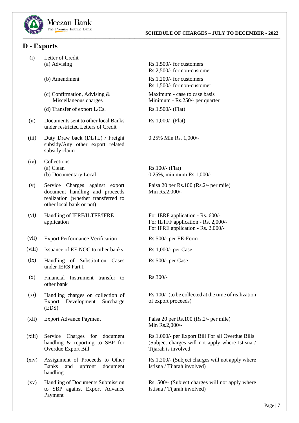

### <span id="page-9-0"></span>**D - Exports**

- (i) Letter of Credit
	-
	- (c) Confirmation, Advising & Miscellaneous charges
	- (d) Transfer of export  $L/Cs$ .  $Rs.1,500/-$  (Flat)
- (ii) Documents sent to other local Banks under restricted Letters of Credit
- (iii) Duty Draw back (DLTL) / Freight subsidy/Any other export related subsidy claim
- (iv) Collections (a) Clean  $\text{Rs.100/-}$  (Flat)
- (v) Service Charges against export document handling and proceeds realization (whether transferred to other local bank or not)
- (vi) Handling of IERF/ILTFF/IFRE application
- (vii) Export Performance Verification
- (viii) Issuance of EE NOC to other banks
- $(ix)$ Handling of Substitution Cases under IERS Part I
- (x) Financial Instrument transfer to other bank
- $(xi)$ Handling charges on collection of Export Development Surcharge (EDS)
- 
- (xiii) Service Charges for document handling & reporting to SBP for Overdue Export Bill
- (xiv) Assignment of Proceeds to Other Banks and upfront document handling
- $(xv)$ Handling of Documents Submission to SBP against Export Advance Payment

(a) Advising  $\text{Rs.1,500/-}$  for customers

Rs.2,500/- for non-customer

(b) Amendment  $\text{Rs.1,200/-}$  for customers Rs.1,500/- for non-customer

> Maximum - case to case basis Minimum - Rs.250/- per quarter

**\_\_\_\_\_\_\_\_\_\_\_\_\_\_\_\_\_\_\_\_\_\_\_\_\_\_\_\_\_\_\_\_\_\_\_\_\_\_\_\_\_\_\_\_\_\_\_\_\_\_\_\_\_\_\_\_\_\_\_\_\_\_\_\_\_\_\_\_\_\_\_\_\_\_\_\_\_\_\_\_\_\_\_\_\_\_\_\_\_\_\_\_\_\_\_\_\_\_\_\_\_\_\_\_\_\_\_\_\_\_\_\_\_\_\_\_\_\_\_\_\_\_\_\_\_\_\_\_\_\_\_\_\_\_\_\_\_\_\_\_\_\_\_\_\_\_\_\_\_\_\_\_\_\_\_\_\_\_\_\_\_\_\_\_\_\_\_\_\_\_\_\_\_\_\_\_\_\_\_\_\_\_\_\_\_\_\_\_\_\_\_\_\_\_\_\_\_\_\_\_\_\_\_\_\_**

Rs.1,000/- (Flat)

0.25% Min Rs. 1,000/-

(b) Documentary Local 0.25%, minimum Rs.1,000/-

Paisa 20 per Rs.100 (Rs.2/- per mile) Min Rs.2,000/-

For IERF application - Rs. 600/- For ILTFF application - Rs. 2,000/- For IFRE application - Rs. 2,000/-

Rs.500/- per EE-Form

Rs.1,000/- per Case

Rs.500/- per Case

Rs.300/-

Rs.100/- (to be collected at the time of realization of export proceeds)

(xii) Export Advance Payment Paisa 20 per Rs.100 (Rs.2/- per mile) Min Rs.2,000/-

> Rs.1,000/- per Export Bill For all Overdue Bills (Subject charges will not apply where Istisna / Tijarah is involved

> Rs.1,200/- (Subject charges will not apply where Istisna / Tijarah involved)

> Rs. 500/- (Subject charges will not apply where Istisna / Tijarah involved)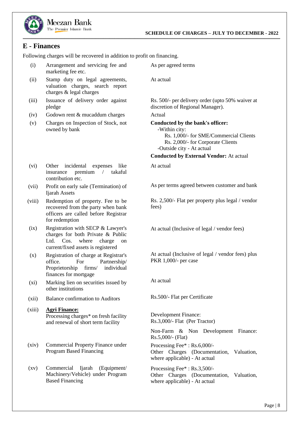

### <span id="page-10-0"></span>**E - Finances**

Following charges will be recovered in addition to profit on financing.

(i) Arrangement and servicing fee and marketing fee etc.

Meezan Bank The Premier Islamic Bank

- (ii) Stamp duty on legal agreements, valuation charges, search report charges & legal charges
- (iii) Issuance of delivery order against pledge
- (iv) Godown rent & mucaddum charges Actual
- (v) Charges on Inspection of Stock, not owned by bank
- (vi) Other incidental expenses like insurance premium / takaful contribution etc.
- (vii) Profit on early sale (Termination) of Ijarah Assets
- (viii) Redemption of property. Fee to be recovered from the party when bank officers are called before Registrar for redemption
- $(ix)$ Registration with SECP & Lawyer's charges for both Private & Public Ltd. Cos. where charge on current/fixed assets is registered
- (x) Registration of charge at Registrar's office. For Partnership/ Proprietorship firms/ individual finances for mortgage
- $(xi)$ Marking lien on securities issued by other institutions
- (xii) Balance confirmation to Auditors
- (xiii) **Agri Finance:** Processing charges\* on fresh facility and renewal of short term facility
- (xiv) Commercial Property Finance under Program Based Financing
- $(xy)$ Commercial Ijarah (Equipment/ Machinery/Vehicle) under Program Based Financing

At actual

As per agreed terms

Rs. 500/- per delivery order (upto 50% waiver at discretion of Regional Manager).

**Conducted by the bank's officer:**

 -Within city: Rs. 1,000/- for SME/Commercial Clients Rs. 2,000/- for Corporate Clients -Outside city - At actual

**Conducted by External Vendor:** At actual

At actual

As per terms agreed between customer and bank

Rs. 2,500/- Flat per property plus legal / vendor fees)

At actual (Inclusive of legal / vendor fees)

At actual (Inclusive of legal / vendor fees) plus PKR 1,000/- per case

At actual

Rs.500/- Flat per Certificate

Development Finance: Rs.3,000/- Flat (Per Tractor)

Non-Farm & Non Development Finance: Rs.5,000/- (Flat)

Processing Fee\* : Rs.6,000/- Other Charges (Documentation, Valuation, where applicable) - At actual

Processing Fee\* : Rs.3,500/- Other Charges (Documentation, Valuation, where applicable) - At actual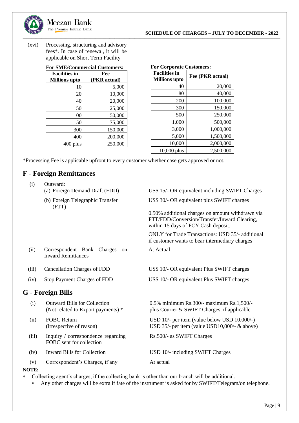(xvi) Processing, structuring and advisory fees\*. In case of renewal, it will be applicable on Short Term Facility

Meezan Bank The Premier Islamic Bank

### **For SME/Commercial Customers:**

| <b>Facilities in</b> | Fee          |  |
|----------------------|--------------|--|
| <b>Millions</b> upto | (PKR actual) |  |
| 10                   | 5,000        |  |
| 20                   | 10,000       |  |
| 40                   | 20,000       |  |
| 50                   | 25,000       |  |
| 100                  | 50,000       |  |
| 150                  | 75,000       |  |
| 300                  | 150,000      |  |
| 400                  | 200,000      |  |
| $400$ plus           | 250,000      |  |

| <b>For Corporate Customers:</b>              |                  |  |  |
|----------------------------------------------|------------------|--|--|
| <b>Facilities in</b><br><b>Millions</b> upto | Fee (PKR actual) |  |  |
| 40                                           | 20,000           |  |  |
| 80                                           | 40,000           |  |  |
| 200                                          | 100,000          |  |  |
| 300                                          | 150,000          |  |  |
| 500                                          | 250,000          |  |  |
| 1,000                                        | 500,000          |  |  |
| 3,000                                        | 1,000,000        |  |  |
| 5,000                                        | 1,500,000        |  |  |
| 10,000                                       | 2,000,000        |  |  |
| 10,000 plus                                  | 2,500,000        |  |  |

\*Processing Fee is applicable upfront to every customer whether case gets approved or not.

### <span id="page-11-0"></span>**F - Foreign Remittances**

| (i)   | Outward:<br>(a) Foreign Demand Draft (FDD)                                | US\$ 15/- OR equivalent including SWIFT Charges                                                                                         |
|-------|---------------------------------------------------------------------------|-----------------------------------------------------------------------------------------------------------------------------------------|
|       |                                                                           |                                                                                                                                         |
|       | (b) Foreign Telegraphic Transfer<br>(FTT)                                 | US\$ 30/- OR equivalent plus SWIFT charges                                                                                              |
|       |                                                                           | 0.50% additional charges on amount withdrawn via<br>FTT/FDD/Conversion/Transfer/Inward Clearing,<br>within 15 days of FCY Cash deposit. |
|       |                                                                           | <b>ONLY</b> for Trade Transactions: USD 35/- additional<br>if customer wants to bear intermediary charges                               |
| (ii)  | Correspondent Bank Charges<br><sub>on</sub><br><b>Inward Remittances</b>  | At Actual                                                                                                                               |
| (iii) | Cancellation Charges of FDD                                               | US\$ 10/- OR equivalent Plus SWIFT charges                                                                                              |
| (iv)  | <b>Stop Payment Charges of FDD</b>                                        | US\$ 10/- OR equivalent Plus SWIFT charges                                                                                              |
|       | <b>G</b> - Foreign Bills                                                  |                                                                                                                                         |
| (i)   | <b>Outward Bills for Collection</b><br>(Not related to Export payments) * | 0.5% minimum Rs.300/- maximum Rs.1,500/-<br>plus Courier & SWIFT Charges, if applicable                                                 |
| (ii)  | <b>FOBC Return</b><br>(irrespective of reason)                            | USD 10/- per item (value below USD 10,000/-)<br>USD $35/-$ per item (value USD10,000/- & above)                                         |
| (iii) | Inquiry / correspondence regarding<br>FOBC sent for collection            | Rs.500/- as SWIFT Charges                                                                                                               |
| (iv)  | <b>Inward Bills for Collection</b>                                        | USD 10/- including SWIFT Charges                                                                                                        |
| (v)   | Correspondent's Charges, if any                                           | At actual                                                                                                                               |
| NOTE: |                                                                           |                                                                                                                                         |

<span id="page-11-1"></span>Collecting agent's charges, if the collecting bank is other than our branch will be additional.

Any other charges will be extra if fate of the instrument is asked for by SWIFT/Telegram/on telephone.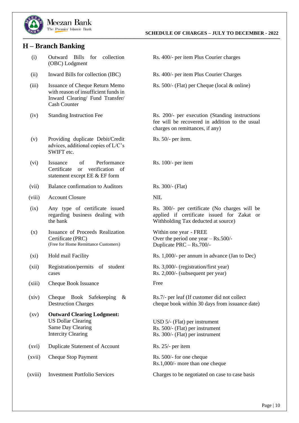

### <span id="page-12-0"></span>**H – Branch Banking**

- (i) Outward Bills for collection (OBC) Lodgment
- (ii) Inward Bills for collection (IBC) Rs. 400/- per item Plus Courier Charges
- (iii) Issuance of Cheque Return Memo with reason of insufficient funds in Inward Clearing/ Fund Transfer/ Cash Counter
- 
- (v) Providing duplicate Debit/Credit advices, additional copies of L/C's SWIFT etc.
- (vi) Issuance of Performance Certificate or verification of statement except EE & EF form
- (vii) Balance confirmation to Auditors Rs. 300/- (Flat)
- (viii) Account Closure NIL
- $(ix)$ Any type of certificate issued regarding business dealing with the bank
- (x) Issuance of Proceeds Realization Certificate (PRC) (Free for Home Remittance Customers)
- 
- (xii) Registration/permits of student cases
- (xiii) Cheque Book Issuance Free
- (xiv) Cheque Book Safekeeping & Destruction Charges
- $\left( xy\right)$ **Outward Clearing Lodgment:** US Dollar Clearing Same Day Clearing Intercity Clearing
- (xvi) Duplicate Statement of Account Rs. 25/- per item
- (xvii) Cheque Stop Payment Rs. 500/- for one cheque
- 
- Rs. 400/- per item Plus Courier charges
- 
- Rs. 500/- (Flat) per Cheque (local & online)

(iv) Standing Instruction Fee Rs. 200/- per execution (Standing instructions) fee will be recovered in addition to the usual charges on remittances, if any)

Rs. 50/- per item.

Rs. 100/- per item

Rs. 300/- per certificate (No charges will be applied if certificate issued for Zakat or Withholding Tax deducted at source)

Within one year - FREE Over the period one year – Rs.500/- Duplicate PRC – Rs.700/-

(xi) Hold mail Facility Rs. 1,000/- per annum in advance (Jan to Dec)

Rs. 3,000/- (registration/first year) Rs. 2,000/- (subsequent per year)

Rs.7/- per leaf (If customer did not collect cheque book within 30 days from issuance date)

USD 5/- (Flat) per instrument Rs. 500/- (Flat) per instrument Rs. 300/- (Flat) per instrument

Rs.1,000/- more than one cheque

(xviii) Investment Portfolio Services Charges to be negotiated on case to case basis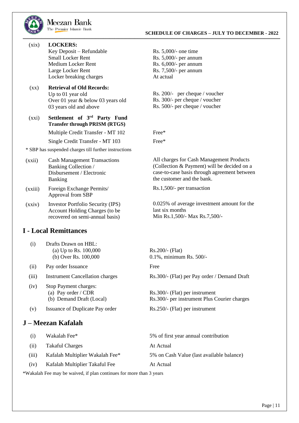

- (xix) **LOCKERS:** Key Deposit – Refundable Small Locker Rent Medium Locker Rent Large Locker Rent Locker breaking charges
- (xx) **Retrieval of Old Records:** Up to 01 year old Over 01 year & below 03 years old 03 years old and above

### (xxi) **Settlement of 3rd Party Fund Transfer through PRISM (RTGS)**

Multiple Credit Transfer - MT 102 Free\*

Single Credit Transfer - MT 103 Free\*

\* SBP has suspended charges till further instructions

- $(xxii)$ Cash Management Transactions Banking Collection / Disbursement / Electronic Banking
- (xxiii) Foreign Exchange Permits/ Approval from SBP
- (xxiv) Investor Portfolio Security (IPS) Account Holding Charges (to be recovered on semi-annual basis)

### <span id="page-13-0"></span>**I - Local Remittances**

- (i) Drafts Drawn on HBL: (a) Up to Rs.  $100,000$  Rs.  $200/-$  (Flat)
- (ii) Pay order Issuance Free
- 
- $(iv)$ Stop Payment charges: (a) Pay order / CDR (b) Demand Draft (Local)
- (v) Issuance of Duplicate Pay order

### <span id="page-13-1"></span>**J – Meezan Kafalah**

| Rs. $5,000/$ - one time |
|-------------------------|
| Rs. 5,000/- per annum   |
| Rs. 6,000/- per annum   |
| Rs. 7,500/- per annum   |
| At actual               |

Rs. 200/- per cheque / voucher Rs. 300/- per cheque / voucher Rs. 500/- per cheque / voucher

All charges for Cash Management Products (Collection & Payment) will be decided on a case-to-case basis through agreement between the customer and the bank.

Rs.1,500/- per transaction

0.025% of average investment amount for the last six months Min Rs.1,500/- Max Rs.7,500/-

(b) Over Rs. 100,000 0.1%, minimum Rs. 500/-

(iii) Instrument Cancellation charges Rs.300/- (Flat) per Pay order / Demand Draft

Rs.300/- (Flat) per instrument Rs.300/- per instrument Plus Courier charges

Rs.250/- (Flat) per instrument

| (i)   | Wakalah Fee*                    | 5% of first year annual contribution      |
|-------|---------------------------------|-------------------------------------------|
| (ii)  | <b>Takaful Charges</b>          | At Actual                                 |
| (iii) | Kafalah Multiplier Wakalah Fee* | 5% on Cash Value (last available balance) |
| (iv)  | Kafalah Multiplier Takaful Fee  | At Actual                                 |

\*Wakalah Fee may be waived, if plan continues for more than 3 years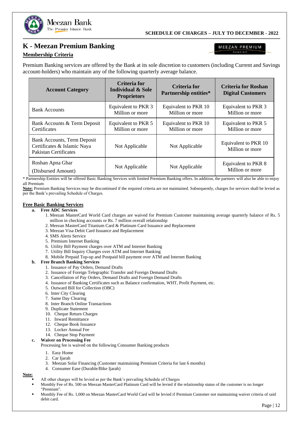

### **K - Meezan Premium Banking**

Meezan Bank The Premier Islamic Bank

### <span id="page-14-0"></span>**Membership Criteria**

MEEZAN PREMIUM BANKING

Premium Banking services are offered by the Bank at its sole discretion to customers (including Current and Savings account-holders) who maintain any of the following quarterly average balance.

| <b>Account Category</b>                                                                           | Criteria for<br><b>Individual &amp; Sole</b><br><b>Proprietors</b> | Criteria for<br><b>Partnership entities*</b> | <b>Criteria for Roshan</b><br><b>Digital Customers</b> |
|---------------------------------------------------------------------------------------------------|--------------------------------------------------------------------|----------------------------------------------|--------------------------------------------------------|
| <b>Bank Accounts</b>                                                                              | Equivalent to PKR 3<br>Million or more                             | Equivalent to PKR 10<br>Million or more      | Equivalent to PKR 3<br>Million or more                 |
| Bank Accounts & Term Deposit<br>Certificates                                                      | Equivalent to PKR 5<br>Million or more                             | Equivalent to PKR 10<br>Million or more      | Equivalent to PKR 5<br>Million or more                 |
| <b>Bank Accounts, Term Deposit</b><br>Certificates & Islamic Naya<br><b>Pakistan Certificates</b> | Not Applicable                                                     | Not Applicable                               | Equivalent to PKR 10<br>Million or more                |
| Roshan Apna Ghar<br>(Disbursed Amount)                                                            | Not Applicable                                                     | Not Applicable                               | Equivalent to PKR 8<br>Million or more                 |

\* Partnership Entities will be offered Basic Banking Services with limited Premium Banking offers. In addition, the partners will also be able to enjoy all Premium

**Note:** Premium Banking Services may be discontinued if the required criteria are not maintained. Subsequently, charges for services shall be levied as per the Bank's prevailing Schedule of Charges.

#### **Free Basic Banking Services**

#### **a. Free ADC Services**

- 1. Meezan MasterCard World Card charges are waived for Premium Customer maintaining average quarterly balance of Rs. 5 million in checking accounts or Rs. 7 million overall relationship
- 2. Meezan MasterCard Titanium Card & Platinum Card Issuance and Replacement
- 3. Meezan Visa Debit Card Issuance and Replacement
- 4. SMS Alerts Service
- 5. Premium Internet Banking
- 6. Utility Bill Payment charges over ATM and Internet Banking
- 7. Utility Bill Inquiry Charges over ATM and Internet Banking
- 8. Mobile Prepaid Top-up and Postpaid bill payment over ATM and Internet Banking

#### **b. Free Branch Banking Services**

- 1. Issuance of Pay Orders, Demand Drafts
- 2. Issuance of Foreign Telegraphic Transfer and Foreign Demand Drafts
- 3. Cancellation of Pay Orders, Demand Drafts and Foreign Demand Drafts
- 4. Issuance of Banking Certificates such as Balance confirmation, WHT, Profit Payment, etc.
- 5. Outward Bill for Collection (OBC)
- 6. Inter City Clearing
- 7. Same Day Clearing
- 8. Inter Branch Online Transactions
- 9. Duplicate Statement
- 10. Cheque Return Charges
- 11. Inward Remittance
- 12. Cheque Book Issuance
- 13. Locker Annual Fee
- 14. Cheque Stop Payment

#### **c. Waiver on Processing Fee**

Processing fee is waived on the following Consumer Banking products

- 1. Easy Home
- 2. Car Ijarah
- 3. Meezan Solar Financing (Customer maintaining Premium Criteria for last 6 months)
- 4. Consumer Ease (Durable/Bike Ijarah)

#### **Note:**

- All other charges will be levied as per the Bank's prevailing Schedule of Charges
- Monthly Fee of Rs. 500 on Meezan MasterCard Platinum Card will be levied if the relationship status of the customer is no longer "Premium".
- Monthly Fee of Rs. 1,000 on Meezan MasterCard World Card will be levied if Premium Customer not maintaining waiver criteria of said debit card.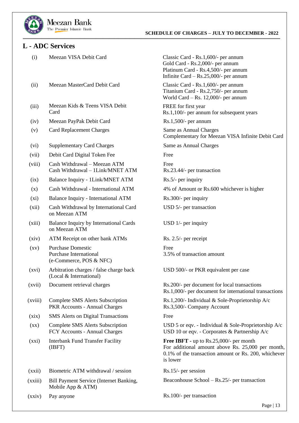

### <span id="page-15-0"></span>**L - ADC Services**

(i) Meezan VISA Debit Card

- (ii) Meezan MasterCard Debit Card
- (iii) Meezan Kids & Teens VISA Debit Card
- (iv) Meezan PayPak Debit Card Rs.1,500/- per annum
- (v) Card Replacement Charges Same as Annual Charges
- (vi) Supplementary Card Charges
- (vii) Debit Card Digital Token Fee
- (viii) Cash Withdrawal – Meezan ATM Cash Withdrawal – 1Link/MNET ATM
- $(ix)$ Balance Inquiry - 1Link/MNET ATM
- (x) Cash Withdrawal - International ATM
- $(x_i)$ Balance Inquiry - International ATM
- (xii) Cash Withdrawal by International Card on Meezan ATM
- (xiii) Balance Inquiry by International Cards on Meezan ATM
- (xiv) ATM Receipt on other bank ATMs
- (xv) Purchase Domestic Free Purchase International (e-Commerce, POS & NFC)
- (xvi) Arbitration charges / false charge back (Local & International)
- (xvii) Document retrieval charges
- (xviii) Complete SMS Alerts Subscription PKR Accounts - Annual Charges
- $(xix)$ SMS Alerts on Digital Transactions
- $(xx)$ Complete SMS Alerts Subscription FCY Accounts - Annual Charges
- (xxi) Interbank Fund Transfer Facility (IBFT)
- (xxii) Biometric ATM withdrawal / session
- (xxiii) Bill Payment Service (Internet Banking, Mobile App & ATM)
- (xxiv) Pay anyone

Classic Card - Rs.1,600/- per annum Gold Card - Rs.2,000/- per annum Platinum Card - Rs.4,500/- per annum Infinite Card – Rs.25,000/- per annum

Classic Card - Rs.1,600/- per annum Titanium Card - Rs.2,750/- per annum World Card – Rs. 12,000/- per annum

FREE for first year Rs.1,100/- per annum for subsequent years

Complementary for Meezan VISA Infinite Debit Card

Same as Annual Charges

Free

Free Rs.23.44/- per transaction

Rs.5/- per inquiry

4% of Amount or Rs.600 whichever is higher

- Rs.300/- per inquiry
- USD 5/- per transaction

USD 1/- per inquiry

Rs. 2.5/- per receipt

3.5% of transaction amount

USD 500/- or PKR equivalent per case

Rs.200/- per document for local transactions Rs.1,000/- per document for international transactions

Rs.1,200/- Individual & Sole-Proprietorship A/c Rs.3,500/- Company Account

#### Free

USD 5 or eqv. - Individual & Sole-Proprietorship A/c USD 10 or eqv. - Corporates & Partnership A/c

**Free IBFT -** up to Rs.25,000/- per month For additional amount above Rs. 25,000 per month, 0.1% of the transaction amount or Rs. 200, whichever is lower

Rs.15/- per session

Beaconhouse School – Rs.25/- per transaction

Rs.100/- per transaction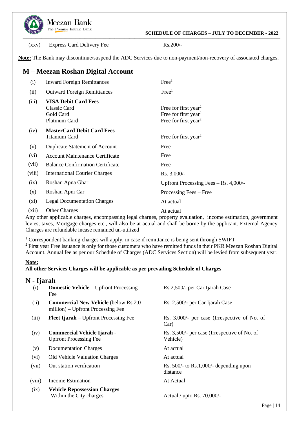

 **SCHEDULE OF CHARGES – JULY TO DECEMBER - 2022**

(xxv) Express Card Delivery Fee Rs.200/-

**Note:** The Bank may discontinue/suspend the ADC Services due to non-payment/non-recovery of associated charges.

**\_\_\_\_\_\_\_\_\_\_\_\_\_\_\_\_\_\_\_\_\_\_\_\_\_\_\_\_\_\_\_\_\_\_\_\_\_\_\_\_\_\_\_\_\_\_\_\_\_\_\_\_\_\_\_\_\_\_\_\_\_\_\_\_\_\_\_\_\_\_\_\_\_\_\_\_\_\_\_\_\_\_\_\_\_\_\_\_\_\_\_\_\_\_\_\_\_\_\_\_\_\_\_\_\_\_\_\_\_\_\_\_\_\_\_\_\_\_\_\_\_\_\_\_\_\_\_\_\_\_\_\_\_\_\_\_\_\_\_\_\_\_\_\_\_\_\_\_\_\_\_\_\_\_\_\_\_\_\_\_\_\_\_\_\_\_\_\_\_\_\_\_\_\_\_\_\_\_\_\_\_\_\_\_\_\_\_\_\_\_\_\_\_\_\_\_\_\_\_\_\_\_\_\_\_**

#### <span id="page-16-0"></span>**M – Meezan Roshan Digital Account** (i) (ii) (iii)  $(iv)$ (v) (vi) (vii) (viii)  $(ix)$ (x)  $(xi)$  $(xii)$ Inward Foreign Remittances Outward Foreign Remittances **VISA Debit Card Fees** Classic Card Gold Card Platinum Card **MasterCard Debit Card Fees** Titanium Card Duplicate Statement of Account Account Maintenance Certificate Balance Confirmation Certificate International Courier Charges Roshan Apna Ghar Roshan Apni Car Legal Documentation Charges Other Charges  $Free<sup>1</sup>$  $Free<sup>1</sup>$ Free for first year<sup>2</sup> Free for first year<sup>2</sup> Free for first year<sup>2</sup> Free for first year<sup>2</sup> Free Free Free Rs. 3,000/- Upfront Processing Fees – Rs. 4,000/- Processing Fees – Free At actual At actual

Any other applicable charges, encompassing legal charges, property evaluation, income estimation, government levies, taxes, Mortgage charges etc., will also be at actual and shall be borne by the applicant. External Agency Charges are refundable incase remained un-utilized

<sup>1</sup> Correspondent banking charges will apply, in case if remittance is being sent through SWIFT

<sup>2</sup> First year Free issuance is only for those customers who have remitted funds in their PKR Meezan Roshan Digital Account. Annual fee as per our Schedule of Charges (ADC Services Section) will be levied from subsequent year.

### **Note:**

### **All other Services Charges will be applicable as per prevailing Schedule of Charges**

### <span id="page-16-1"></span>**N - Ijarah**

| (i)    | <b>Domestic Vehicle</b> – Upfront Processing<br>Fee                               | Rs.2,500/- per Car Ijarah Case                           |
|--------|-----------------------------------------------------------------------------------|----------------------------------------------------------|
| (ii)   | <b>Commercial New Vehicle (below Rs.2.0)</b><br>million) – Upfront Processing Fee | Rs. 2,500/- per Car Ijarah Case                          |
| (iii)  | <b>Fleet Ijarah</b> – Upfront Processing Fee                                      | Rs. 3,000/- per case (Irrespective of No. of<br>Car)     |
| (iv)   | <b>Commercial Vehicle Ijarah -</b><br><b>Upfront Processing Fee</b>               | Rs. 3,500/- per case (Irrespective of No. of<br>Vehicle) |
| (v)    | <b>Documentation Charges</b>                                                      | At actual                                                |
| (vi)   | Old Vehicle Valuation Charges                                                     | At actual                                                |
| (vii)  | Out station verification                                                          | Rs. $500/-$ to Rs. 1,000/- depending upon<br>distance    |
| (viii) | Income Estimation                                                                 | At Actual                                                |
| (ix)   | <b>Vehicle Repossession Charges</b><br>Within the City charges                    | Actual / upto Rs. $70,000/$ -                            |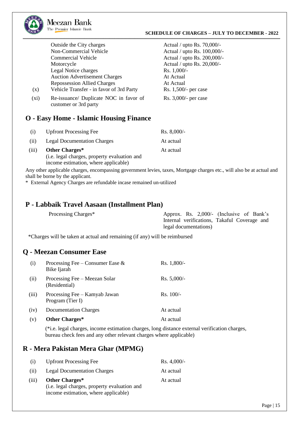

#### **SCHEDULE OF CHARGES – JULY TO DECEMBER - 2022**

|      | Outside the City charges                                        | Actual / upto Rs. 70,000/-  |
|------|-----------------------------------------------------------------|-----------------------------|
|      | Non-Commercial Vehicle                                          | Actual / upto Rs. 100,000/- |
|      | <b>Commercial Vehicle</b>                                       | Actual / upto Rs. 200,000/- |
|      | Motorcycle                                                      | Actual / upto Rs. 20,000/-  |
|      | Legal Notice charges                                            | Rs. 1,000/-                 |
|      | <b>Auction Advertisement Charges</b>                            | At Actual                   |
|      | <b>Repossession Allied Charges</b>                              | At Actual                   |
| (x)  | Vehicle Transfer - in favor of 3rd Party                        | Rs. 1,500/- per case        |
| (xi) | Re-issuance/ Duplicate NOC in favor of<br>customer or 3rd party | Rs. 3,000/- per case        |
|      |                                                                 |                             |

### <span id="page-17-0"></span>**O - Easy Home - Islamic Housing Finance**

| (i)   | <b>Upfront Processing Fee</b>                | $Rs. 8,000/$ - |
|-------|----------------------------------------------|----------------|
| (i)   | <b>Legal Documentation Charges</b>           | At actual      |
| (iii) | Other Charges*                               | At actual      |
|       | (i.e. legal charges, property evaluation and |                |
|       | income estimation, where applicable)         |                |

Any other applicable charges, encompassing government levies, taxes, Mortgage charges etc., will also be at actual and shall be borne by the applicant.

**\_\_\_\_\_\_\_\_\_\_\_\_\_\_\_\_\_\_\_\_\_\_\_\_\_\_\_\_\_\_\_\_\_\_\_\_\_\_\_\_\_\_\_\_\_\_\_\_\_\_\_\_\_\_\_\_\_\_\_\_\_\_\_\_\_\_\_\_\_\_\_\_\_\_\_\_\_\_\_\_\_\_\_\_\_\_\_\_\_\_\_\_\_\_\_\_\_\_\_\_\_\_\_\_\_\_\_\_\_\_\_\_\_\_\_\_\_\_\_\_\_\_\_\_\_\_\_\_\_\_\_\_\_\_\_\_\_\_\_\_\_\_\_\_\_\_\_\_\_\_\_\_\_\_\_\_\_\_\_\_\_\_\_\_\_\_\_\_\_\_\_\_\_\_\_\_\_\_\_\_\_\_\_\_\_\_\_\_\_\_\_\_\_\_\_\_\_\_\_\_\_\_\_\_\_**

\* External Agency Charges are refundable incase remained un-utilized

### <span id="page-17-1"></span>**P - Labbaik Travel Aasaan (Installment Plan)**

| Processing Charges* | Approx. Rs. 2,000/- (Inclusive of Bank's     |
|---------------------|----------------------------------------------|
|                     | Internal verifications, Takaful Coverage and |
|                     | legal documentations)                        |

\*Charges will be taken at actual and remaining (if any) will be reimbursed

### <span id="page-17-2"></span>**Q - Meezan Consumer Ease**

| (i)   | Processing Fee – Consumer Ease $\&$<br>Bike Ijarah | $Rs. 1,800/-$ |
|-------|----------------------------------------------------|---------------|
| (ii)  | Processing Fee – Meezan Solar<br>(Residential)     | $Rs. 5,000/-$ |
| (iii) | Processing Fee – Kamyab Jawan<br>Program (Tier I)  | $Rs. 100/-$   |
| (iv)  | <b>Documentation Charges</b>                       | At actual     |
| (v)   | Other Charges*                                     | At actual     |

(\*i.e. legal charges, income estimation charges, long distance external verification charges, bureau check fees and any other relevant charges where applicable)

### <span id="page-17-3"></span>**R - Mera Pakistan Mera Ghar (MPMG)**

| (1)   | <b>Upfront Processing Fee</b>                | $Rs. 4,000/-$ |
|-------|----------------------------------------------|---------------|
| (ii)  | <b>Legal Documentation Charges</b>           | At actual     |
| (iii) | Other Charges*                               | At actual     |
|       | (i.e. legal charges, property evaluation and |               |
|       | income estimation, where applicable)         |               |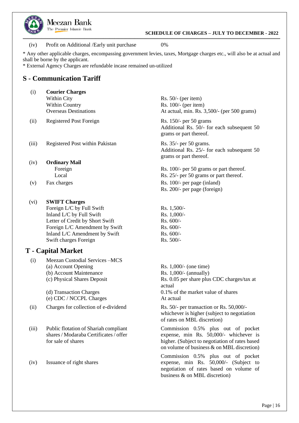

 **SCHEDULE OF CHARGES – JULY TO DECEMBER - 2022**

(iv) Profit on Additional /Early unit purchase 0%

\* Any other applicable charges, encompassing government levies, taxes, Mortgage charges etc., will also be at actual and shall be borne by the applicant.

**\_\_\_\_\_\_\_\_\_\_\_\_\_\_\_\_\_\_\_\_\_\_\_\_\_\_\_\_\_\_\_\_\_\_\_\_\_\_\_\_\_\_\_\_\_\_\_\_\_\_\_\_\_\_\_\_\_\_\_\_\_\_\_\_\_\_\_\_\_\_\_\_\_\_\_\_\_\_\_\_\_\_\_\_\_\_\_\_\_\_\_\_\_\_\_\_\_\_\_\_\_\_\_\_\_\_\_\_\_\_\_\_\_\_\_\_\_\_\_\_\_\_\_\_\_\_\_\_\_\_\_\_\_\_\_\_\_\_\_\_\_\_\_\_\_\_\_\_\_\_\_\_\_\_\_\_\_\_\_\_\_\_\_\_\_\_\_\_\_\_\_\_\_\_\_\_\_\_\_\_\_\_\_\_\_\_\_\_\_\_\_\_\_\_\_\_\_\_\_\_\_\_\_\_\_**

\* External Agency Charges are refundable incase remained un-utilized

### <span id="page-18-0"></span>**S - Communication Tariff**

| <b>Courier Charges</b>       |  |
|------------------------------|--|
| Within City                  |  |
| <b>Within Country</b>        |  |
| <b>Overseas Destinations</b> |  |
|                              |  |

(ii) Registered Post Foreign Rs. 150/- per 50 grams

- (iii) Registered Post within Pakistan
- $(iv)$ **Ordinary Mail** Foreign Local
- (v) Fax charges

### (vi) **SWIFT Charges**

Foreign L/C by Full Swift Rs. 1,500/-Inland L/C by Full Swift Rs. 1,000/-Letter of Credit by Short Swift Rs. 600/-Foreign L/C Amendment by Swift<br>
Inland L/C Amendment by Swift<br>
Rs. 600/-Inland L/C Amendment by Swift Swift charges Foreign Rs. 500/-

### <span id="page-18-1"></span>**T - Capital Market**

(i) Meezan Custodial Services –MCS (a) Account Opening (b) Account Maintenance (c) Physical Shares Deposit

> (d) Transaction Charges (e) CDC / NCCPL Charges

- (ii) Charges for collection of e-dividend Rs. 50/- per transaction or Rs. 50,000/-
- (iii) Public flotation of Shariah compliant shares / Modaraba Certificates / offer for sale of shares
- $(iv)$ Issuance of right shares

Rs. 50/- (per item) Rs. 100/- (per item) At actual, min. Rs. 3,500/- (per 500 grams)

Additional Rs. 50/- for each subsequent 50 grams or part thereof.

Rs. 35/- per 50 grams. Additional Rs. 25/- for each subsequent 50 grams or part thereof.

Rs. 100/- per 50 grams or part thereof. Rs. 25/- per 50 grams or part thereof. Rs. 100/- per page (inland) Rs. 200/- per page (foreign)

Rs. 1,000/- (one time) Rs. 1,000/- (annually) Rs. 0.05 per share plus CDC charges/tax at actual 0.1% of the market value of shares At actual

whichever is higher (subject to negotiation of rates on MBL discretion)

Commission 0.5% plus out of pocket expense, min Rs. 50,000/- whichever is higher. (Subject to negotiation of rates based on volume of business & on MBL discretion)

Commission 0.5% plus out of pocket expense, min Rs. 50,000/- (Subject to negotiation of rates based on volume of business & on MBL discretion)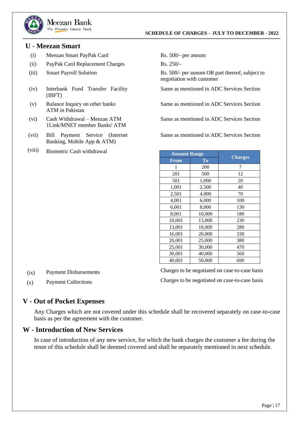

### <span id="page-19-0"></span>**U - Meezan Smart**

- (i) Meezan Smart PayPak Card
- (ii) PayPak Card Replacement Charges
- $(iii)$ Smart Payroll Solution
- (iv) Interbank Fund Transfer Facility (IBFT)
- (v) Balance Inquiry on other banks ATM in Pakistan
- (vi) Cash Withdrawal – Meezan ATM 1Link/MNET member Banks' ATM
- (vii) Bill Payment Service (Internet Banking, Mobile App & ATM)
- (viii) Biometric Cash withdrawal

Rs. 500/- per annum

Rs. 250/-

**\_\_\_\_\_\_\_\_\_\_\_\_\_\_\_\_\_\_\_\_\_\_\_\_\_\_\_\_\_\_\_\_\_\_\_\_\_\_\_\_\_\_\_\_\_\_\_\_\_\_\_\_\_\_\_\_\_\_\_\_\_\_\_\_\_\_\_\_\_\_\_\_\_\_\_\_\_\_\_\_\_\_\_\_\_\_\_\_\_\_\_\_\_\_\_\_\_\_\_\_\_\_\_\_\_\_\_\_\_\_\_\_\_\_\_\_\_\_\_\_\_\_\_\_\_\_\_\_\_\_\_\_\_\_\_\_\_\_\_\_\_\_\_\_\_\_\_\_\_\_\_\_\_\_\_\_\_\_\_\_\_\_\_\_\_\_\_\_\_\_\_\_\_\_\_\_\_\_\_\_\_\_\_\_\_\_\_\_\_\_\_\_\_\_\_\_\_\_\_\_\_\_\_\_\_**

Rs. 500/- per annum OR part thereof, subject to negotiation with customer

Same as mentioned in ADC Services Section

Same as mentioned in ADC Services Section

Same as mentioned in ADC Services Section

Same as mentioned in ADC Services Section

| <b>Amount Range</b> |                                   |                |  |
|---------------------|-----------------------------------|----------------|--|
| <b>From</b>         | $\overline{\mathbf{T}}\mathbf{0}$ | <b>Charges</b> |  |
| 1                   | 200                               | 7              |  |
| 201                 | 500                               | 12             |  |
| 501                 | 1,000                             | 20             |  |
| 1,001               | 2,500                             | 40             |  |
| 2,501               | 4,000                             | 70             |  |
| 4,001               | 6,000                             | 100            |  |
| 6,001               | 8,000                             | 130            |  |
| 8,001               | 10,000                            | 180            |  |
| 10,001              | 13,000                            | 230            |  |
| 13,001              | 16,000                            | 280            |  |
| 16,001              | 20,000                            | 330            |  |
| 20,001              | 25,000                            | 380            |  |
| 25,001              | 30,000                            | 470            |  |
| 30,001              | 40,000                            | 560            |  |
| 40,001              | 50,000                            | 690            |  |

 $(ix)$ Payment Disbursements Charges to be negotiated on case-to-case basis Charges to be negotiated on case-to-case basis

 $(x)$ Payment Collections

### <span id="page-19-1"></span>**V - Out of Pocket Expenses**

Any Charges which are not covered under this schedule shall be recovered separately on case-to-case basis as per the agreement with the customer.

### <span id="page-19-2"></span>**W - Introduction of New Services**

In case of introduction of any new service, for which the bank charges the customer a fee during the tenor of this schedule shall be deemed covered and shall be separately mentioned in next schedule.